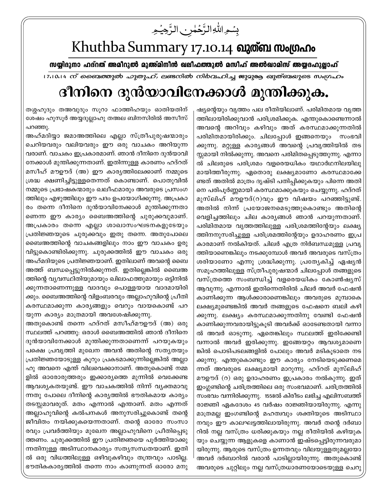بِسُمِ اللَّهِ الرَّحۡمٰنِ الرَّحِیۡمِ

## Khuthba Summary 17.10.14 வுளை ஸ்மூம்

സയ്യിദുനാ ഹദ്റത് അമീറുൽ മുഅ്മിനീൻ ഖലീഫത്തുൽ മസീഹ് അൽഖാമിസ് അയ്യദഹുല്ലാഹ്

। 7,10,14 ന് ബൈത്തുൽ ഹുതുഹ്, ലണ്ടനിൽ നിർവഹിച്ച ജുമുരൂ ഖുത്ബയുടെ സംഗ്രഹം

## ദീനിനെ ദുൻയാവിനേക്കാൾ മുന്തിക്കുക.

ഷ്യന്റെയും വൃത്തം പല രീതിയിലാണ്. പരിമിതമായ വൃത്ത ത്തിലായിരിക്കുവാൻ പരിശ്രമിക്കുക. എന്തുകൊണ്ടെന്നാൽ അവന്റെ അറിവും കഴിവും അത് കരസ്ഥമാക്കുന്നതിൽ പരിമിതമായിരിക്കും. ചിലപ്പോൾ ഇങ്ങനെയും സംഭവി ക്കുന്നു. മറ്റുള്ള കാര്യങ്ങൾ അവന്റെ പ്രവൃത്തിയിൽ തട സ്സമായി നിൽക്കുന്നു. അവനെ പരിമിതപ്പെടുത്തുന്നു. എന്നാ ൽ ചിലരുടെ പരിശ്രമം വളരെയധികം യഥാർഥനിലയിലു മായിത്തീരുന്നു. ഏതൊരു ലക്ഷ്യമാണോ കരസ്ഥമാക്കേ ണ്ടത് അതിൽ മാത്രം ദൃഷ്ടി പതിപ്പിക്കുകയും പിന്നെ അതി നെ പരിപൂർണ്ണമായി കരസ്ഥമാക്കുകയും ചെയ്യുന്നു. ഹദ്റത് മുസ്ലിഹ് മൗഊദ്(റ)വും ഈ വിഷയം പറഞ്ഞിട്ടുണ്ട്. അതിൽ നിന്ന് പ്രയോജനമെടുത്തുകൊണ്ടും അതിന്റെ വെളിച്ചത്തിലും ചില കാര്യങ്ങൾ ഞാൻ പറയുന്നതാണ്. പരിമിതമായ വൃത്തത്തിലുള്ള പരിശ്രമത്തിന്റേയും ലക്ഷ്യ ത്തിനനുസരിച്ചുള്ള പരിശ്രമത്തിന്റേയും ഉദാഹരണം ഇപ്ര കാരമാണ് നൽകിയത്. ചിലർ എത്ര നിർബന്ധമുള്ള പ്രവൃ ത്തിയാണെങ്കിലും നടക്കുമ്പോൾ അവർ അവരുടെ വസ്ത്രം ശരിയാണോ എന്നു ശ്രദ്ധിക്കുന്നു. പ്രത്യേകിച്ച് ഏഷ്യൻ സമൂഹത്തിലുള്ള സ്ത്രീപുരുഷന്മാർ ചിലപ്പോൾ തങ്ങളുടെ വസ്ത്രത്തെ സംബന്ധിച്ച് വളരെയധികം കോൺഷ്യസ് ആവുന്നു. എന്നാൽ ഇതിന്നെതിരിൽ ചിലർ അവർ ഫേഷൻ കാണിക്കുന്ന ആൾക്കാരാണെങ്കിലും അവരുടെ മുമ്പാകെ ലക്ഷ്യമുണ്ടെങ്കിൽ അവർ തങ്ങളുടെ ഫേഷനെ ബലി കഴി ക്കുന്നു. ലക്ഷ്യം കരസ്ഥമാക്കുന്നതിനു വേണ്ടി ഫേഷൻ കാണിക്കുന്നവരായിട്ടുകൂടി അവർക്ക് ഓടേണ്ടതായി വന്നാ ൽ അവർ ഓടുന്നു. ഏതെങ്കിലും സ്ഥലത്ത് ഇരിക്കേണ്ടി വന്നാൽ അവർ ഇരിക്കുന്നു. ഇങ്ങേയറ്റം ആവശ്യമാണെ ങ്കിൽ പൊടിപടലങ്ങളിൽ പോലും അവർ മടികൂടാതെ നട ക്കുന്നു. എന്തുകൊണ്ടും ഈ കാര്യം നേടിയെടുക്കണമെ ന്നത് അവരുടെ ലക്ഷ്യമായി മാറുന്നു. ഹദ്റത് മുസ്ലിഹ് മൗഊദ് (റ) ഒരു ഉദാഹരണം ഇപ്രകാരം നൽകുന്നു. ഇത് ഇംഗ്ലണ്ടിന്റെ ചരിത്രത്തിലെ ഒരു സംഭവമാണ്. ചരിത്രത്തിൽ സംഭവം വന്നിരിക്കുന്നു. 1558ൽ കിരീടം ലഭിച്ച എലിസബത്ത് രാജ്ഞി ഏകദേശം 45 വർഷം രാജ്ഞിയായിരുന്നു. എന്നു മാത്രമല്ല ഇംഗണ്ടിന്റെ മഹത്വവും ശക്തിയുടെ അടിസ്ഥാ നവും ഈ കാലഘട്ടത്തിലായിരുന്നു. അവർ തന്റെ ദർബാ റിൽ നല്ല വസ്ത്രം ധരിക്കുകയും നല്ല രീതിയിൽ കഴിയുക യും ചെയ്യുന്ന ആളുകളെ കാണാൻ ഇഷ്ടപ്പെട്ടിരുന്നവരുമാ യിരുന്നു. ആരുടെ വസ്ത്രം ഉന്നതവും വിലയുള്ളതുമല്ലയോ അവർ ദർബാറിൽ വരാൻ പാടില്ലായിരുന്നു. അതുകൊണ്ട് അവരുടെ ചുറ്റിലും നല്ല വസ്ത്രധാരണയോടെയുള്ള ചെറു

തശ്ശഹുദും തഅവുദും സൂറാ ഫാത്തിഹയും ഓതിയതിന് ശേഷം ഹുസൂർ അയ്യദുല്ലാഹു തഅല ബിനസിരിൽ അസീസ് പറഞ്ഞു.

അഹ്മദിയ്യാ ജമാഅത്തിലെ എല്ലാ സ്ത്രീപുരുഷന്മാരും ചെറിയവരും വലിയവരും ഈ ഒരു വാചകം അറിയുന്ന വരാണ്. വാചകം ഇപ്രകാരമാണ്. ഞാൻ ദീനിനെ ദുൻയാവി നേക്കാൾ മുന്തിക്കുന്നതാണ്. ഇതിന്നുള്ള കാരണം ഹദ്റത് മസീഹ് മൗഊദ് (അ) ഈ കാരൃത്തിലേക്കാണ് നമ്മുടെ ശ്രദ്ധ ക്ഷണിച്ചിട്ടുള്ളതെന്നത് കൊണ്ടാണ്. പൊതുവിൽ നമ്മുടെ പ്രഭാഷകന്മാരും ഖലീഫമാരും അവരുടെ പ്രസംഗ ത്തിലും എഴുത്തിലും ഈ പദം ഉപയോഗിക്കുന്നു. അപ്രകാ രം തന്നെ ദീനിനെ ദുൻയാവിനേക്കാൾ മുന്തിക്കുന്നതാ ണെന്ന ഈ കാര്യം ബൈഅത്തിന്റെ ചുരുക്കവുമാണ്. അപ്രകാരം തന്നെ എല്ലാ ശാഖാസംഘടനകളുടേയും പ്രതിജ്ഞയുടെ ചുരുക്കവും ഇതു തന്നെ. അതുപോലെ ബൈഅത്തിന്റെ വാചകങ്ങളിലും നാം ഈ വാചകം ഉരു വിട്ടുകൊണ്ടിരിക്കുന്നു. ചുരുക്കത്തിൽ ഈ വാചകം ഒരു അഹ്മദിയുടെ പ്രതിജ്ഞയാണ്. ഇതിലാണ് അവന്റെ ബൈ അത്ത് ബന്ധപ്പെട്ടുനിൽക്കുന്നത്. ഇതില്ലെങ്കിൽ ബൈഅ ത്തിന്റെ വ്യവസ്ഥിതിയുമായും ഖിലാഫത്തുമായും ഒട്ടിനിൽ ക്കുന്നതാണെന്നുള്ള വാദവും പൊള്ളയായ വാദമായിരി ക്കും. ബൈഅത്തിന്റെ വിളംബരവും അല്ലാഹുവിന്റെ പ്രീതി കരസ്ഥമാക്കുന്ന കാര്യങ്ങളും വെറും വായകൊണ്ട് പറ യുന്ന കാര്യം മാത്രമായി അവശേഷിക്കുന്നു.

അതുകൊണ്ട് തന്നെ ഹദ്റത് മസീഹ്മൗഊദ് (അ) ഒരു സ്ഥലത്ത് പറഞ്ഞു: ഒരാൾ ബൈഅത്തിൽ ഞാൻ ദീനിനെ ദുൻയാവിനേക്കാൾ മുന്തിക്കുന്നതാണെന്ന് പറയുകയും പക്ഷെ പ്രവൃത്തി മുഖേന അവൻ അതിന്റെ സത്യതയും പ്രതിജ്ഞയോടുള്ള കൂറും പ്രകടമാക്കുന്നില്ലെങ്കിൽ അല്ലാ ഹു അവനെ എന്ത് വിലവെക്കാനാണ്. അതുകൊണ്ട് നമ്മ ളിൽ ഓരോരുത്തരും ഇക്കാര്യത്തെ മുന്നിൽ വെക്കേണ്ട ആവശ്യകതയുണ്ട്. ഈ വാചകത്തിൽ നിന്ന് വ്യക്തമാവു ന്നതു പോലെ ദീനിന്റെ കാര്യത്തിൽ ഭൗതികമായ കാര്യം തടസ്സമാവരുത്. മതം എന്നാൽ എന്താണ്. മതം എന്നത് അല്ലാഹുവിന്റെ കൽപനകൾ അനുസരിച്ചുകൊണ്ട് തന്റെ ജീവിതം നയിക്കുകയെന്നതാണ്. തന്റെ ഓരോ സംസാ രവും പ്രവർത്തിയും മുഖേന അല്ലാഹുവിനെ പ്രീതിപ്പെടു ത്തണം. ചുരുക്കത്തിൽ ഈ പ്രതിജ്ഞയെ പൂർത്തിയാക്കു ന്നതിനുള്ള അടിസ്ഥാനകാര്യം സത്യസന്ധതയാണ്. ഇതി ൽ ഒരു വിധത്തിലുള്ള ഒഴിവുകഴിവും തന്ത്രവും പാടില്ല. ഭൗതികകാര്യത്തിൽ തന്നെ നാം കാണുന്നത് ഓരോ മനു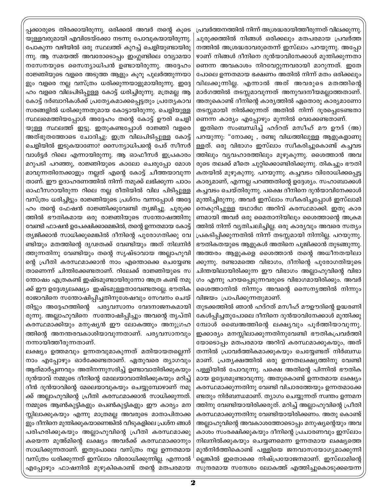പ്രവർത്തനത്തിൽ നിന്ന് അശ്രദ്ധരായിത്തീരുന്നത് വിലക്കുന്നു. ചുരുക്കത്തിൽ നിങ്ങൾ ഒരിക്കലും മതപരമായ പ്രവർത്ത നത്തിൽ അശ്രദ്ധരാവരുതെന്ന് ഇസ്ലാം പറയുന്നു. അപ്പോ ഴാണ് നിങ്ങൾ ദീനിനെ ദുൻയാവിനേക്കാൾ മുന്തിക്കുന്നതാ ണെന്ന അവകാശം നിറവേറ്റുന്നവരായി മാറുന്നത്. ഇതേ പോലെ ഉന്നതമായ ഭക്ഷണം അതിൽ നിന്ന് മതം ഒരിക്കലും വിലക്കുന്നില്ല. എന്നാൽ അത് അവരുടെ മതത്തിന്റെ മാർഗത്തിൽ തടസ്സമാവുന്നത് അനുവദനീയമല്ലാത്തതാണ്. അതുകൊണ്ട് ദീനിന്റെ കാര്യത്തിൽ ഏതൊരു കാര്യമാണോ തടസ്സമായി നിൽക്കുന്നത് അതിൽ നിന്ന് ദൂരപ്പെടേണ്ടതാ ണെന്ന കാര്യം എപ്പോഴും മുന്നിൽ വെക്കേണ്ടതാണ്.

ഇതിനെ സംബന്ധിച്ച് ഹദ്റത് മസീഹ് മൗ ഊദ് (അ) പറയുന്നു: "നോക്കൂ , രണ്ടു വിധത്തിലുള്ള ആളുകളാണു ള്ളത്. ഒരു വിഭാഗം ഇസ്ലാം സ്വീകരിച്ചുകൊണ്ട് കച്ചവട ത്തിലും വ്യവഹാരത്തിലും മുഴുകുന്നു. ശൈത്താൻ അവ രുടെ തലക്ക് മീതെ ചുറ്റിക്കൊണ്ടിരിക്കുന്നു. തികച്ചും ഭൗതി കതയിൽ മുഴുകുന്നു. പറയുന്നു. കച്ചവടം വിരോധിക്കപ്പെട്ട കാര്യമാണ്, എന്നല്ല പറഞ്ഞതിന്റെ ഉദ്ദേശ്യം. സഹാബാക്കൾ കച്ചവടം ചെയ്തിരുന്നു. പക്ഷെ ദീനിനെ ദുൻയാവിനേക്കാൾ മുന്തിച്ചിരുന്നു. അവർ ഇസ്ലാം സ്വീകരിച്ചപ്പോൾ ഇസ്ലാമി നെകുറിച്ചുള്ള യഥാർഥ അറിവ് കരസ്ഥമാക്കി. ഇതു കാര ണമായി അവർ ഒരു മൈതാനിയിലും ശൈത്താന്റെ അക്രമ ത്തിൽ നിന്ന് വൃതിചലിച്ചില്ല. ഒരു കാര്യവും അവരെ സത്യം പ്രകടിപ്പിക്കുന്നതിൽ നിന്ന് തടസ്സമായി നിന്നില്ല. പറയുന്നു. ഭൗതികതയുടെ ആളുകൾ അതിനെ പൂജിക്കാൻ തുടങ്ങുന്നു. അത്തരം ആളുകളെ ശൈത്താൻ തന്റെ അധീനതയിലാ ക്കുന്നു. രണ്ടാമത്തെ വിഭാഗം, ദീനിന്റെ പുരോഗതിയുടെ ചിന്തയിലായിരിക്കുന്ന ഈ വിഭാഗം അല്ലാഹുവിന്റെ വിഭാ ഗം എന്നു പറയപ്പെടുന്നവരുടെ വിഭാഗമായിരിക്കും. അവർ ശൈത്താനിൽ നിന്നും അവന്റെ സൈന്യത്തിൽ നിന്നും വിജയം പ്രാപിക്കുന്നതുമാണ്.

തുടക്കത്തിൽ ഞാൻ ഹദ്റത് മസീഹ് മൗഊദിന്റെ ഉദ്ധരണി കേൾപ്പിച്ചതുപോലെ ദീനിനെ ദുൻയാവിനേക്കാൾ മുന്തിക്കു മ്പോൾ ബൈഅത്തിന്റെ ലക്ഷ്യവും പൂർത്തിയാവുന്നു. ഇക്കാര്യം മനസ്സിലാക്കുന്നതിനുവേണ്ടി ഭൗതികപ്രവർത്തി യോടൊപ്പം മതപരമായ അറിവ് കരസ്ഥമാക്കുകയും, അത് തന്നിൽ പ്രാവർത്തികമാക്കുകയും ചെയ്യേണ്ടത് നിർബന്ധ മാണ്. പ്രത്യക്ഷത്തിൽ ഒരു ഉന്നതലക്ഷ്യത്തിനു വേണ്ടി പള്ളിയിൽ പോവുന്നു. പക്ഷെ അതിന്റെ പിന്നിൽ ഭൗതിക മായ ഉദ്ദേശമുണ്ടാവുന്നു. അതുകൊണ്ട് ഉന്നതമായ ലക്ഷ്യം കരസ്ഥമാക്കുന്നതിനു വേണ്ടി വിചാരത്തേയും ഉന്നതമാക്കേ ണ്ടതും നിർബന്ധമാണ്. ത്യാഗം ചെയ്യുന്നത് സ്വന്തം ഉന്നമന ത്തിനു വേണ്ടിയായിരിക്കരുത്. മറിച്ച് അല്ലാഹുവിന്റെ പ്രീതി കരസ്ഥമാക്കുന്നതിനു വേണ്ടിയായിരിക്കണം. അതു കൊണ്ട് അല്ലാഹുവിന്റെ അവകാശത്തോടൊപ്പം മനുഷ്യന്റെയും അവ കാശം സംരക്ഷിക്കുകയും ദീനിന്റെ പ്രചാരണവും ഇസ്ലാം നിലനിൽക്കുകയും ചെയ്യണമെന്ന ഉന്നതമായ ലക്ഷ്യത്തെ മുൻനിർത്തികൊണ്ട് പള്ളിയെ ജനവാസയോഗ്യമാക്കുന്നി ല്ലെങ്കിൽ ഇതൊക്കെ നിഷ്പ്രയോജനമാണ്. ഇസ്ലാമിന്റെ സുന്ദരമായ സന്ദേശം ലോകത്ത് എത്തിച്ചുകൊടുക്കയെന്ന

പ്പക്കാരുടെ തിരക്കായിരുന്നു. ഒരിക്കൽ അവർ തന്റെ കൂടെ യുള്ളവരുമായി എവിടേയ്ക്കോ നടന്നു പോവുകയായിരുന്നു. പോകുന്ന വഴിയിൽ ഒരു സ്ഥലത്ത് കുറച്ച് ചെളിയുണ്ടായിരു ന്നു. ആ സമയത്ത് അവരോടൊപ്പം ഇംഗ്ലണ്ടിലെ വ്യോമയാ നസേനയുടെ സൈന്യാധിപൻ ഉണ്ടായിരുന്നു. അദ്ദേഹം രാജ്ഞിയുടെ വളരെ അടുത്ത ആളും കൂറു പുലർത്തുന്നയാ ളും വളരെ നല്ല വസ്ത്രം ധരിക്കുന്നയാളുമായിരുന്നു. ഇദ്ദേ ഹം വളരെ വിലപിടിപ്പുള്ള കോട്ട് ധരിച്ചിരുന്നു. മത്രമല്ല ആ കോട്ട് ദർബാറികൾക്ക് പ്രത്യേകമാക്കപ്പെട്ടതും പ്രത്യേകാവ സരങ്ങളിൽ ധരിക്കുന്നതുമായ കോട്ടായിരുന്നു. ചെളിയുള്ള സ്ഥലമെത്തിയപ്പോൾ അദ്ദേഹം തന്റെ കോട്ട് ഊരി ചെളി യുള്ള സ്ഥലത്ത് ഇട്ടു. ഇതുകണ്ടപ്പോൾ രാജ്ഞി വളരെ അത്ഭുതത്തോടെ ചോദിച്ചു. ഇത്ര വിലപിടിപ്പുള്ള കോട്ട് ചെളിയിൽ ഇടുകയാണോ? സൈന്യാധിപന്റെ പേര് സീസർ വാൾട്ടർ റിലെ എന്നായിരുന്നു. ആ ഓഫീസർ ഇപ്രകാരം മറുപടി പറഞ്ഞു, രാജ്ഞിയുടെ കാലോ ചെരുപ്പോ മോശ മാവുന്നതിനേക്കാളും നല്ലത് എന്റെ കോട്ട് ചീത്തയാവുന്ന താണ്. ഈ ഉദാഹരണത്തിൽ നിന്ന് നമുക്ക് ലഭിക്കുന്ന പാഠം ഓഫീസറായിരുന്ന റിലെ നല്ല രീതിയിൽ വില പിടിപ്പുള്ള വസ്ത്രം ധരിച്ചിട്ടും രാജ്ഞിയുടെ പ്രശ്നം വന്നപ്പോൾ അദ്ദേ ഹം തന്റെ ഫേഷൻ രാജ്ഞിക്കുവേണ്ടി ത്യജിച്ചു. ചുരുക്ക ത്തിൽ ഭൗതികമായ ഒരു രാജ്ഞിയുടെ സന്തോഷത്തിനു വേണ്ടി ഫാഷൻ ഉപേക്ഷിക്കാമെങ്കിൽ, തന്റെ ഉന്നതമായ കോട്ട് ത്യജിക്കാൻ സാധിക്കുമെങ്കിൽ ദീനിന്റെ പുരോഗതിക്കു വേ ണ്ടിയും മതത്തിന്റെ ദൃഢതക്ക് വേണ്ടിയും അത് നിലനിർ ത്തുന്നതിനു വേണ്ടിയും തന്റെ സൃഷ്ടാവായ അല്ലാഹുവി ന്റെ പ്രീതി കരസ്ഥമാക്കാൻ നാം എന്തൊക്കെ ചെയ്യേണ്ട താണെന്ന് ചിന്തിക്കേണ്ടതാണ്. റിലേക്ക് രാജ്ഞിയുടെ സ ന്തോഷം എത്രകണ്ട് ഇഷ്ടമുണ്ടായിരുന്നോ അത്ര കണ്ട് നമു ക്ക് ഈ ഉദ്ദേശ്യലക്ഷ്യം ഇഷ്ടമുള്ളതാവേണ്ടതല്ലേ. ഭൗതിക രാജാവിനെ സന്തോഷിപ്പിച്ചതിനുശേഷവും സേവനം ചെയ് തിട്ടും അദ്ദേഹത്തിന്റെ പര്യവസാനം വേദനാജനകമായി രുന്നു. അല്ലാഹുവിനെ സന്തോഷിപ്പിച്ചും അവന്റെ തൃപ്തി കരസ്ഥമാക്കിയും മനുഷ്യൻ ഈ ലോകത്തും അനുഗ്രഹ ത്തിന്റെ അനന്തരവകാശിയാവുന്നതാണ്. പര്യവസാനവും നന്നായിത്തീരുന്നതാണ്.

ലക്ഷ്യം ഉത്തമവും ഉന്നതവുമാകുന്നത് മതിയായതല്ലെന്ന് നാം എപ്പോഴും ഓർക്കേണ്ടതാണ്. ഏതുവരെ ത്യാഗവും ആത്മാർപ്പണവും അതിനന്നുസരിച്ച് ഉണ്ടാവാതിരിക്കുകയും ദുൻയാവ് നമ്മുടെ ദീനിന്റെ മേലേയാവാതിരിക്കുകയും മറിച്ച് ദീൻ ദുൻയാവിന്റെ മേലെയാവുകയും ചെയ്യുമ്പോഴാണ് നമു ക്ക് അല്ലാഹുവിന്റെ പ്രീതി കരസ്ഥമാക്കാൻ സാധിക്കുന്നത്. നമ്മുടെ ആൺകുട്ടികളും പെൺകുട്ടികളും ഈ കാര്യം മന സ്സിലാക്കുകയും എന്നു മാത്രമല്ല അവരുടെ മാതാപിതാക്ക ളും ദീനിനെ മുന്തിക്കുകയാണെങ്കിൽ വീടുകളിലെ പ്രശ്ന ങ്ങൾ പരിഹരിക്കുകയും അല്ലാഹുവിന്റെ പ്രീതി കരസ്ഥമാക്കു കയെന്ന മുഅ്മിന്റെ ലക്ഷ്യം അവർക്ക് കരസ്ഥമാക്കാനും സാധിക്കുന്നതാണ്. ഇതുപോലെ വസ്ത്രം നല്ല ഉന്നതമായ വസ്ത്രം ധരിക്കുന്നത് ഇസ്ലാം വിരോധിക്കുന്നില്ല. എന്നാൽ എപ്പോഴും ഫാഷനിൽ മുഴുകികൊണ്ട് തന്റെ മതപരമായ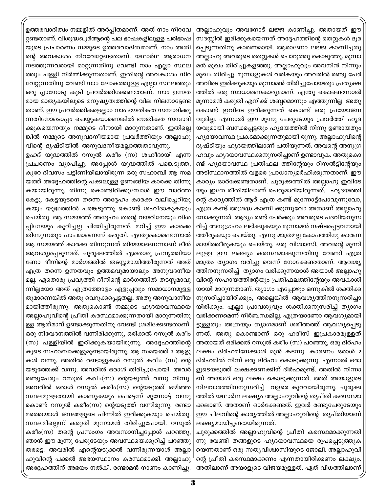അല്ലാഹുവും അവനോട് ലജ്ജ കാണിച്ചു. അതായത് ഈ സദസ്സിൽ ഇരിക്കുകയെന്നത് അദ്ദേഹത്തിന്റെ തെറ്റുകൾ ദൂര പ്പെടുന്നതിനു കാരണമായി. ആരാണോ ലജ്ജ കാണിച്ചതു അല്ലാഹു അവരുടെ തെറ്റുകൾ പൊറുത്തു കൊടുത്തു. മൂന്നാ മൻ മുഖം തിരിച്ചുകളഞ്ഞു. അല്ലാഹുവും അവനിൻ നിന്നും മുഖം തിരിച്ചു. മൂന്നാളുകൾ വരികയും അവരിൽ രണ്ടു പേർ അവിടെ ഇരിക്കുകയും മൂന്നാമൻ തിരിച്ചുപോയതും പ്രത്യക്ഷ ത്തിൽ ഒരു സാധാരണകാര്യമാണ്. എന്തു കൊണ്ടെന്നാൽ മൂന്നാമൻ കരുതി എനിക്ക് ശബ്ദമൊന്നും എത്തുന്നില്ല. അതു കൊണ്ട് ഇവിടെ ഇരിക്കുന്നത് കൊണ്ട് ഒരു പ്രയോജന വുമില്ല. എന്നാൽ ഈ മുന്നു പേരുടേയും പ്രവർത്തി ഹൃദ യവുമായി ബന്ധപ്പെട്ടതും ഹൃദയത്തിൽ നിന്നു ഉണ്ടായതും ഹൃദയാവസ്ഥ പ്രകടമാക്കുന്നതുമായി രുന്നു. അല്ലാഹുവിന്റെ ദൃഷ്ടിയും ഹൃദയത്തിലാണ് പതിയുന്നത്. അവന്റെ അനുഗ്ര ഹവും ഹൃദയാവസ്ഥക്കനുസരിച്ചാണ് ഉണ്ടാവുക. അതുകൊ ണ്ട് ഹൃദയാവസ്ഥ പ്രതിഫല ത്തിന്റേയും റിസൽട്ടിന്റേയും അടിസ്ഥാനത്തിൽ വളരെ പ്രാധാന്യമർഹിക്കുന്നതാണ്. ഈ കാര്യം ഓർക്കേണ്ടതാണ്. ചുരുക്കത്തിൽ അല്ലാഹു ഇവിടേ യും ഇതേ രീതിയിലാണ് പെരുമാറിയിരുന്നത്. ഹൃദയത്തി ന്റെ കാര്യത്തിൽ ആര് എത്ര കണ്ട് മുന്നോട്ട്പോവുന്നുവോ, എത്ര കണ്ട് അശ്രദ്ധ കാണി ക്കുന്നുവോ അതാണ് അല്ലാഹു നോക്കുന്നത്. ആദ്യം രണ്ട് പേർക്കും അവരുടെ പദവിയനുസ രിച്ച് അനുഗ്രഹം ലഭിക്കുകയും മൂന്നാമൻ നഷ്ടപ്പെട്ടവനായി ത്തീരുകയും ചെയ്തു. എന്നു മാത്രമല്ല കോപത്തിനു കാരണ മായിത്തീരുകയും ചെയ്തു. ഒരു വിശ്വാസി, അവന്റെ മുന്നി ലുള്ള ഈ ലക്ഷ്യം കരസ്ഥമാക്കുന്നതിനു വേണ്ടി എത്ര മാത്രം ത്യാഗം വരിച്ചു വെന്ന് നോക്കേണ്ടതാണ്. ആവശ്യ ത്തിനനുസരിച്ച് ത്യാഗം വരിക്കുന്നയാൾ അയാൾ അല്ലാഹു വിന്റെ സഹായത്തിന്റേയും പ്രതിഫലത്തിന്റേയും അവകാശി യായി മാറുന്നതാണ്. ത്യാഗം എപ്പോഴും ഒന്നുകിൽ ശക്തിക്ക നുസരിച്ചായിരിക്കും, അല്ലെങ്കിൽ ആവശ്യത്തിനനുസരിച്ചാ യിരിക്കും. എല്ലാ പ്രാവശ്യവും ശക്തിക്കനുസരിച്ച് ത്യാഗം വരിക്കണമെന്ന് നിർബന്ധമില്ല. എത്രയാണോ ആവശ്യമായി ട്ടുള്ളതും അത്രയും ത്യാഗമാണ് ശരീഅത്ത് ആവശ്യപ്പെടു ന്നത്. അതു കൊണ്ടാണ് ഒരു ഹദീസ് ഇപ്രകാരമുള്ളത് അതായത് ഒരിക്കൽ റസൂൽ കരീം (സ) പറഞ്ഞു, ഒരു ദിർഹം ലക്ഷം ദിർഹമിനേക്കാൾ മുൻ കടന്നു. കാരണം ഒരാൾ 2 ദിർഹമിൽ നിന്ന് ഒരു ദിർഹം കൊടുക്കുന്നു. എന്നാൽ ഒരാ ളുടെയടുത്ത് ലക്ഷക്കണക്കിന് ദിർഹമുണ്ട്. അതിൽ നിന്നാ ണ് അയാൾ ഒരു ലക്ഷം കൊടുക്കുന്നത്. അത് അയാളുടെ നിലവാരത്തിനനുസരിച്ച് വളരെ കുറവായിരുന്നു. ചുരുക്ക ത്തിൽ യഥാർഥ ലക്ഷ്യം അല്ലാഹുവിന്റെ തൃപ്തി കരസ്ഥമാ ക്കലാണ്. അതാണ് ഓർക്കേണ്ടത്. ഇവർ രണ്ടുപേരുടേയും ഈ ചിലവിന്റെ കാര്യത്തിൽ അല്ലാഹുവിന്റെ തൃപ്തിയാണ് ലക്ഷ്യമായിട്ടുണ്ടായിരുന്നത്.

ചുരുക്കത്തിൽ അല്ലാഹുവിന്റെ പ്രീതി കരസ്ഥമാക്കുന്നതി ന്നു വേണ്ടി തങ്ങളുടെ ഹൃദയാവസ്ഥയെ രൂപപ്പെടുത്തുക യെന്നതാണ് ഒരു സത്യവിശ്വാസിയുടെ ജോലി. അല്ലാഹുവി ന്റെ പ്രീതി കരസ്ഥമാക്കണം എന്നതായിരിക്കണം ലക്ഷ്യം. അതിലാണ് അയാളുടെ വിജയമുള്ളത്. ഏത് വിധത്തിലാണ്

ഉത്തരവാദിത്വം നമ്മളിൽ അർപ്പിതമാണ്. അത് നാം നിറവേ റ്റണ്ടതാണ്. വിശുദ്ധഖുർആന്റെ പല ഭാഷകളിലുള്ള പരിഭാഷ യുടെ പ്രചാരണം നമ്മുടെ ഉത്തരവാദിത്വമാണ്. നാം അതി ന്റെ അവകാശം നിറവേറ്റേണ്ടതാണ്. യഥാർഥ ആരാധന നടത്തുന്നവരായി മാറ്റുന്നതിനു വേണ്ടി നാം എല്ലാ സ്ഥല ത്തും പള്ളി നിർമ്മിക്കുന്നതാണ്. ഇതിന്റെ അവകാശം നിറ വേറ്റുന്നതിനു വേണ്ടി നാം ലോകത്തുള്ള എല്ലാ സ്ഥലത്തും ഒരു പ്ലാനോടു കൂടി പ്രവർത്തിക്കേണ്ടതാണ്. നാം ഉന്നത മായ മാതൃകയിലൂടെ മനുഷ്യത്വത്തിന്റെ വില നിലനാട്ടേണ്ട താണ്. ഈ പ്രവർത്തികളെല്ലാം നാം ഭൗതികത സമ്പാദിക്കു ന്നതിനോടൊപ്പം ചെയ്യുകയാണെങ്കിൽ ഭൗതികത സമ്പാദി ക്കുകയെന്നതും നമ്മുടെ ദീനായി മാറുന്നതാണ്. ഇതില്ലെ ങ്കിൽ നമ്മുടെ അനുവദനീയമായ പ്രവർത്തിയും അല്ലാഹു വിന്റെ ദൃഷ്ടിയിൽ അനുവദനീയമല്ലാത്തതാവുന്നു.

ഉഹദ് യുദ്ധത്തിൽ റസൂൽ കരീം (സ) ശഹീദായി എന്ന പ്രചരണം വ്യാപിച്ചു. അപ്പോൾ യുദ്ധത്തിൽ പങ്കെടുത്ത, കുറേ ദിവസം പട്ടിണിയിലായിരുന്ന ഒരു സഹാബി ആ സമ യത്ത് അദ്ദേഹത്തിന്റെ പക്കലുള്ള ഉണങ്ങിയ കാരക്ക തിന്നു കയായിരുന്നു. തിന്നു കൊണ്ടിരിക്കുമ്പോൾ ഈ വാർത്ത കേട്ടു. കേട്ടയുടനെ തന്നെ അദ്ദേഹം കാരക്ക വലിച്ചെറിയു കയും യുദ്ധത്തിൽ പങ്കെടുത്തു കൊണ്ട് ശഹീദാകുകയും ചെയ്തു. ആ സമയത്ത് അദ്ദേഹം തന്റെ വയറിനേയും വിശ പ്പിനേയും കുറിച്ചല്ല ചിന്തിച്ചിരുന്നത്. മറിച്ച് ഈ കാരക്ക തിന്നുന്നതും പാപമാണെന്ന് കരുതി. എന്തുകൊണ്ടെന്നാൽ ആ സമയത്ത് കാരക്ക തിന്നുന്നത് തിന്മയാണെന്നാണ് ദീൻ ആവശ്യപ്പെടുന്നത്. ചുരുക്കത്തിൽ ഏതൊരു പ്രവൃത്തിയാ ണോ ദീനിന്റെ മാർഗത്തിൽ തടസ്സമായിത്തീരുന്നത് അത് എത്ര തന്നെ ഉന്നതവും ഉത്തമവുമായാലും അനുവദനീയ മല്ല. ഏതൊരു പ്രവൃത്തി ദീനിന്റെ മാർഗത്തിൽ തടസ്സമാവു ന്നില്ലയോ അത് എത്രത്തോളം എളുപ്പവും സമാധാനമുള്ള തുമാണെങ്കിൽ അതു വെറുക്കപ്പെട്ടതല്ല, അതു അനുവദനീയ മായിത്തീരുന്നു. അതുകൊണ്ട് നമ്മുടെ ഹൃദയാവസ്ഥയെ അല്ലാഹുവിന്റെ പ്രീതി കരസ്ഥമാക്കുന്നതായി മാറുന്നതിനു ള്ള ആത്മാവ് ഉണ്ടാക്കുന്നതിനു വേണ്ടി ശ്രമിക്കേണ്ടതാണ്. ഒരു നിവേദനത്തിൽ വന്നിരിക്കുന്നു, ഒരിക്കൽ റസൂൽ കരീം (സ) പള്ളിയിൽ ഇരിക്കുകയായിരുന്നു. അദ്ദേഹത്തിന്റെ കൂടെ സഹാബാക്കളുമുണ്ടായിരുന്നു. ആ സമയത്ത് 3 ആളു കൾ വന്നു. അതിൽ രണ്ടാളുകൾ റസൂൽ കരീം (സ) ന്റെ യടുത്തേക്ക് വന്നു. അവരിൽ ഒരാൾ തിരിച്ചുപോയി. അവർ രണ്ടുപേരും റസൂൽ കരീം(സ) ന്റെയടുത്ത് വന്നു നിന്നു. അവരിൽ ഒരാൾ റസൂൽ കരീം(സ) ന്റെയടുത്ത് ഒഴിഞ്ഞ സ്ഥലമുള്ളതായി കാണുകയും പെട്ടെന്ന് മുന്നോട്ട് വന്നു കൊണ്ട് റസൂൽ കരീം(സ) ന്റെയടുത്ത് വന്നിരുന്നു. രണ്ടാ മത്തെയാൾ ജനങ്ങളുടെ പിന്നിൽ ഇരിക്കുകയും ചെയ്തു. സ്ഥലമില്ലെന്ന് കരുതി മൂന്നാമൻ തിരിച്ചുപോയി. റസൂൽ കരീം(സ) തന്റെ പ്രസംഗം അവസാനിച്ചപ്പോൾ പറഞ്ഞു, ഞാൻ ഈ മൂന്നു പേരുടേയും അവസ്ഥയെക്കുറിച്ച് പറഞ്ഞു തരട്ടെ. അവരിൽ എന്റെയടുക്കൽ വന്നിരുന്നയാൾ അല്ലാ ഹുവിന്റെ പക്കൽ അഭയസ്ഥാനം കരസ്ഥമാക്കി. അല്ലാഹു അദ്ദേഹത്തിന് അഭയം നൽകി. രണ്ടാമൻ നാണം കാണിച്ചു.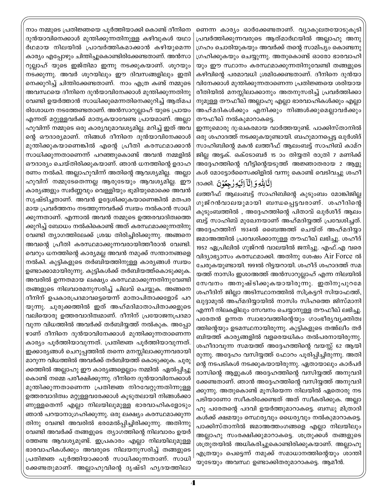നാം നമ്മുടെ പ്രതിജ്ഞയെ പൂർത്തിയാക്കി കൊണ്ട് ദീനിനെ ദുൻയാവിനെക്കാൾ മുന്തിക്കുന്നതിനുള്ള കഴിവുകൾ യഥാ ർഥമായ നിലയിൽ പ്രാവർത്തികമാക്കാൻ കഴിയുമെന്ന കാര്യം എപ്പോഴും ചിന്തിച്ചുകൊണ്ടിരിക്കേണ്ടതാണ്. അൻസാ റുല്ലാഹ് യുടെ ഇജ്തിമാ ഇന്നു നടക്കുകയാണ്. ശൂറയും നടക്കുന്നു. അവർ ശുറയിലും ഈ ദിവസങ്ങളിലും ഇതി നെക്കുറിച്ച് ചിന്തിക്കേണ്ടതാണ്. നാം എത്ര കണ്ട് നമ്മുടെ അവസ്ഥയെ ദീനിനെ ദുൻയാവിനേക്കാൾ മുന്തിക്കുന്നതിനു വേണ്ടി ഉയർത്താൻ സാധിക്കുമെന്നതിനെക്കുറിച്ച് ആത്മപ രിശോധന നടത്തേണ്ടതാണ്. അൻസാറുല്ലാഹ് യുടെ പ്രായം എന്നത് മറ്റുള്ളവർക്ക് മാതൃകയാവേണ്ട പ്രായമാണ്. അല്ലാ ഹുവിന്ന് നമ്മുടെ ഒരു കാര്യവുമാവശ്യമില്ല. മറിച്ച് ഇത് അവ ന്റെ ഔദാര്യമാണ്. നിങ്ങൾ ദീനിനെ ദുൻയാവിനേക്കാൾ മുന്തിക്കുകയാണെങ്കിൽ എന്റെ പ്രീതി കരസ്ഥമാക്കാൻ സാധിക്കുന്നതാണെന്ന് പറഞ്ഞുകൊണ്ട് അവൻ നമ്മളിൽ ഔദാര്യം ചെയ്തിരിക്കുകയാണ്. ഞാൻ ധനത്തിന്റെ ഉദാഹ രണം നൽകി. അല്ലാഹുവിന്ന് അതിന്റെ ആവശ്യമില്ല. അല്ലാ ഹുവിന് നമ്മുടേതെന്നല്ല ആരുടേയും ആവശ്യമില്ല. ഈ കാര്യങ്ങളും സ്വർണ്ണവും വെള്ളിയും ഭൂമിയുമൊക്കെ അവൻ സൃഷ്ടിച്ചതാണ്. അവൻ ഉദ്ദേശിക്കുകയാണെങ്കിൽ മതപര മായ പ്രവർത്തനം നടത്തുന്നവർക്ക് സ്വയം നൽകാൻ സാധി ക്കുന്നതാണ്. എന്നാൽ അവൻ നമ്മുടെ ഉത്തരവാദിത്വത്തെ ക്കുറിച്ച് ബോധം നൽകികൊണ്ട് അത് കരസ്ഥമാക്കുന്നതിനു വേണ്ടി ത്യാഗത്തിലേക്ക് ശ്രദ്ധ തിരിച്ചിരിക്കുന്നു. അങ്ങനെ അവന്റെ പ്രീതി കരസ്ഥമാക്കുന്നവരായിത്തീരാൻ വേണ്ടി. വെറും ധനത്തിന്റെ കാര്യമല്ല അവൻ നമുക്ക് സന്താനങ്ങളെ നൽകി. കുട്ടികളുടെ തർബിയത്തിനുള്ള കാര്യങ്ങൾ സ്വയം ഉണ്ടാക്കാമായിരുന്നു. കുട്ടികൾക്ക് തർബിയത്ത്കൊടുക്കുക. അവരിൽ ഉന്നതമായ ലക്ഷ്യം കരസ്ഥമാക്കുന്നതിനുവേണ്ടി തങ്ങളുടെ നിലവാരമനുസരിച്ച് ചിലവ് ചെയ്യുക. അങ്ങനെ ദീനിന് ഉപകാരപ്രദമാവട്ടെയെന്ന് മാതാപിതാക്കളോട് പറ യുന്നു. ചുരുക്കത്തിൽ ഇത് അഹ്മദിമാതാപിതാക്കളുടെ വലിയൊരു ഉത്തരവാദിത്വമാണ്. ദീനിന് പ്രയോജനപ്രദമാ വുന്ന വിധത്തിൽ അവർക്ക് തർബിയ്യത്ത് നൽകുക. അപ്പോ ഴാണ് ദീനിനെ ദുൻയാവിനേക്കാൾ മുന്തിക്കുന്നതാണെന്ന കാര്യം പൂർത്തിയാവുന്നത്. പ്രതിജ്ഞ പൂർത്തിയാവുന്നത്. ഇക്കാര്യങ്ങൾ ചെറുപ്പത്തിൽ തന്നെ മനസ്സിലാക്കുന്നവരായി മാറുന്ന വിധത്തിൽ അവർക്ക് തർബിയത്ത് കൊടുക്കുക. ചുരു ക്കത്തിൽ അല്ലാഹു ഈ കാര്യങ്ങളെല്ലാം നമ്മിൽ ഏൽപ്പിച്ചു കൊണ്ട് നമ്മെ പരീക്ഷിക്കുന്നു. ദീനിനെ ദുൻയാവിനേക്കാൾ മുന്തിക്കുന്നതാണെന്ന പ്രതിജ്ഞ നിറവേറ്റുന്നതിന്നുള്ള ഉത്തരവാദിത്വം മറ്റുള്ളവരേക്കാൾ കൂടുതലായി നിങ്ങൾക്കാ ണുള്ളതെന്ന് എല്ലാ നിലയിലുമുള്ള ഭാരവാഹികളോടും ഞാൻ പറയാനാഗ്രഹിക്കുന്നു. ഒരു ലക്ഷ്യം കരസ്ഥമാക്കുന്ന തിനു വേണ്ടി അവരിൽ ഭരമേൽപ്പിച്ചിരിക്കുന്നു. അതിന്നു വേണ്ടി അവർക്ക് തങ്ങളുടെ ത്യാഗത്തിന്റെ നിലവാരം ഉയർ ത്തേണ്ട ആവശ്യമുണ്ട്. ഇപ്രകാരം എല്ലാ നിലയിലുമുള്ള ഭാരവാഹികൾക്കും അവരുടെ നിലയനുസരിച്ച് തങ്ങളുടെ പ്രതിജ്ഞ പൂർത്തിയാക്കാൻ സാധിക്കുന്നതാണ്. സാധി ക്കേണ്ടതുമാണ്. അല്ലാഹുവിന്റെ ദൃഷ്ടി ഹൃദയത്തിലാ

ണെന്ന കാര്യം ഓർക്കേണ്ടതാണ്. വ്യാകുലതയോടുകൂടി പ്രവർത്തിക്കുന്നവരുടെ ആത്മാർഥയിൽ അല്ലാഹു അനു ഗ്രഹം ചൊരിയുകയും അവർക്ക് തന്റെ സാമിപ്യം കൊണ്ടനു ഗ്രഹിക്കുകയും ചെയ്യുന്നു. അതുകൊണ്ട് ഓരോ ഭാരവാഹി യും ഈ സ്ഥാനം കരസ്ഥമാക്കുന്നതിനുവേണ്ടി തങ്ങളുടെ കഴിവിന്റെ പരമാവധി ശ്രമിക്കേണ്ടതാണ്. ദീനിനെ ദുൻയാ വിനേക്കാൾ മുന്തിക്കുന്നതാണെന്ന പ്രതിജ്ഞയെ ശരിയായ രീതിയിൽ മനസ്സിലാക്കാനും അതനുസരിച്ച് പ്രവർത്തിക്കാ നുമുള്ള തൗഫീഖ് അല്ലാഹു എല്ലാ ഭാരവാഹികൾക്കും എല്ലാ അഹ്മദികൾക്കും എനിക്കും നിങ്ങൾക്കുമെല്ലാവർക്കും തൗഫീഖ് നൽകുമാറാകട്ടെ.

ഇന്നുമൊരു ദു:ഖകരമായ വാർത്തയുണ്ട്. പാക്കിസ്താനിൽ ഒരു ശഹാദത്ത് നടക്കുകയുണ്ടായി. ബഹുമാനപ്പെട്ട ഖുർശിദ് സാഹിബിന്റെ മകൻ ലത്തീഫ് ആലംബട്ട് സാഹിബ് കാമ്റ ജില്ല അട്ടക്. ഒക്ടോബർ 15 ാം തിയ്യതി രാത്രി 7 മണിക്ക് അദ്ദേഹത്തിന്റെ വീട്ടിന്റെയടുത്ത് അജ്ഞാതരായ 2 ആളു കൾ മോട്ടോർസൈക്കിളിൽ വന്നു കൊണ്ട് വെടിവച്ചു ശഹീ الَّالِلُّهِ وَإِنَّآ إِلَيۡهِ رَجِعُوۡنَ .3000 c

ലത്തീഫ് ആലംബട്ട് സാഹിബിന്റെ കുടുംബം മോങ്കിജില്ല ഗുജ്റൻവാലയുമായി ബന്ധപ്പെട്ടവരാണ്. ശഹീദിന്റെ കൂടുംബത്തിൽ , അദ്ദേഹത്തിന്റെ പിതാവ് ഖൂർശീദ് ആലം ബട്ട് സാഹിബ് മുഖേനയാണ് അഹ്മദിയത്ത് പ്രവേശിച്ചത്. അദ്ദേഹത്തിന് 1934ൽ ബൈഅത്ത് ചെയ്ത് അഹ്മദിയ്യാ ജമാഅത്തിൽ പ്രവേശിക്കാനുള്ള തൗഫീഖ് ലഭിച്ചു. ശഹീദ് 1952 ഏപ്രിലിൽ ഗുജ്റൻ വാലയിൽ ജനിച്ചു. എഫ്.എ വരെ വിദ്യാഭ്യാസം കരസ്ഥമാക്കി. അതിനു ശേഷം Air Force ൽ ചേരുകയുണ്ടായി. 1991ൽ റിട്ടയറായി. ശഹീദ് ശഹാദത്ത് സമ യത്ത് നാസിം ഇശാഅത്ത് അൻസാറുല്ലാഹ് എന്ന നിലയിൽ സേവനം അനുഷ്ടിക്കുകയായിരുന്നു. ഇതിനുപുറമേ ശഹീദിന് ജില്ലാ അടിസ്ഥാനത്തിൽ സിക്രട്ടറി സിയാഫത്ത്, ഖുദ്ദാമുൽ അഹ്മദിയായിൽ നാസിം സിഹത്തെ ജിസ്മാനി എന്നീ നിലകളിലും സേവനം ചെയ്യാനുള്ള തൗഫീഖ് ലഭിച്ചു. പരേതൻ ഉന്നത സ്വാഭാവത്തിന്റെയും ഗാംഭീര്യവ്യക്തിത്വ ത്തിന്റെയും ഉടമസ്ഥനായിരുന്നു. കുട്ടികളുടെ തഅ്ലീം തർ ബിയത്ത് കാര്യങ്ങളിൽ വളരെയധികം തൽപരനായിരുന്നു. ശഹീദാവുന്ന സമയത്ത് അദ്ദേഹത്തിന്റെ വയസ്സ് 62 ആയി രുന്നു. അദ്ദേഹം വസിയ്യത്ത് ഫോറം പൂരിപ്പിച്ചിരുന്നു. അതി ന്റെ നടപടികൾ നടക്കുകയായിരുന്നു. ഏതായാലും കാർപർ ദാസിന്റെ ആളുകൾ അദ്ദേഹത്തിന്റെ വസിയ്യത്ത് അനുവദി ക്കേണ്ടതാണ്. ഞാൻ അദ്ദേഹത്തിന്റെ വസിയ്യത്ത് അനുവദി ക്കുന്നു. അതുകൊണ്ട് മൂസിയെന്ന നിലയിൽ ഏതൊരു നട പടിയാണോ സ്വീകരിക്കേണ്ടത് അത് സ്വീകരിക്കുക. അല്ലാ ഹു പരേതന്റെ പദവി ഉയർത്തുമാറാകട്ടെ. ബന്ധു മിത്രാദി കൾക്ക് ക്ഷമയും സെ്ഥര്യവും ധൈര്യവും നൽകുമാറാകട്ടെ. പാക്കിസ്താനിൽ ജമാഅത്തംഗങ്ങളെ എല്ലാ നിലയിലും അല്ലാഹു സംരക്ഷിക്കുമാറാകട്ടെ. ശത്രുക്കൾ തങ്ങളുടെ ശത്രുതയിൽ അധികരിച്ചുകൊണ്ടിരിക്കുകയാണ്. അല്ലാഹു എത്രയും പെട്ടെന്ന് നമുക്ക് സമാധാനത്തിന്റെയും ശാന്തി യുടേയും അവസ്ഥ ഉണ്ടാക്കിതരുമാറാകട്ടെ. ആമീൻ.